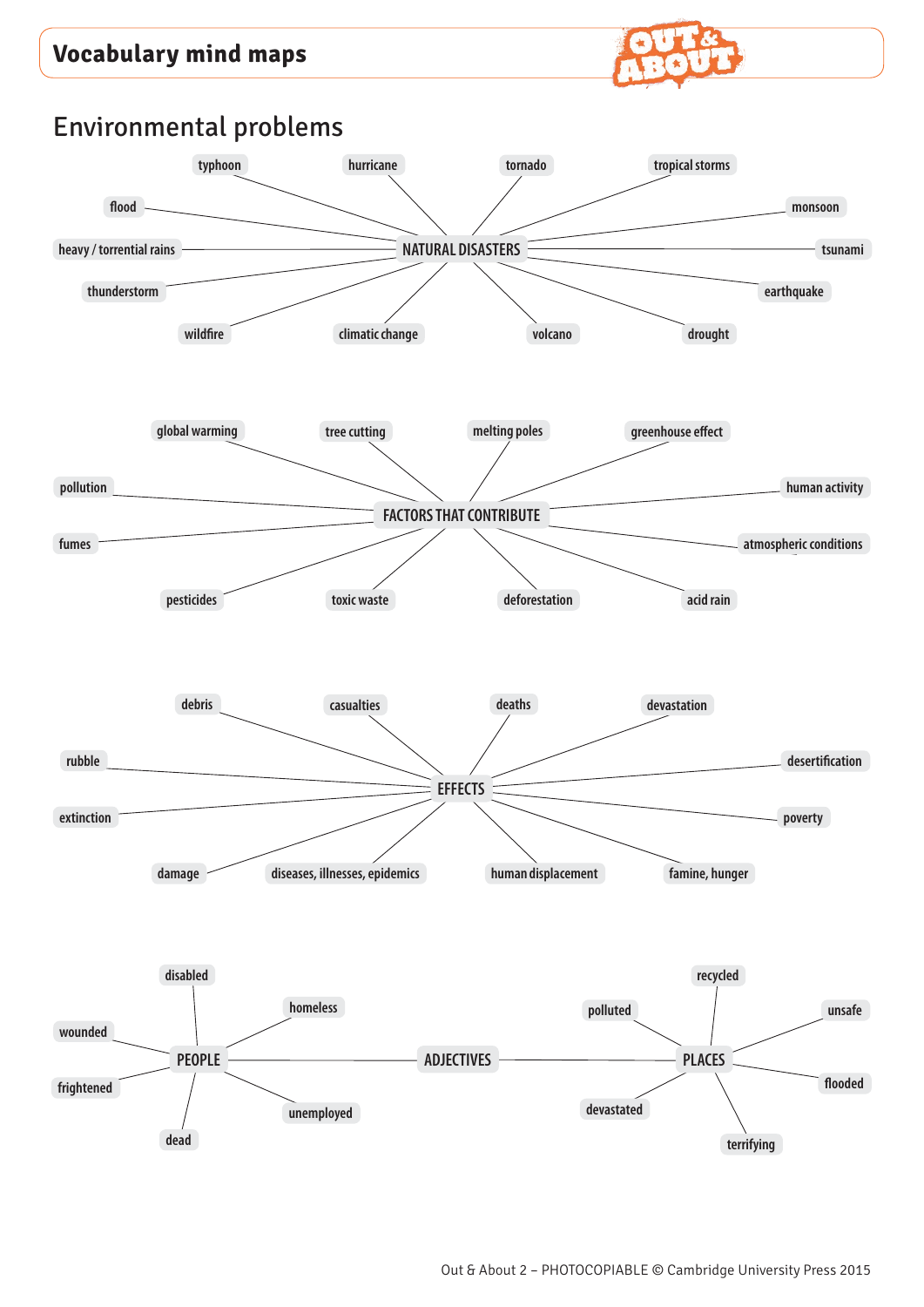## **Vocabulary mind maps**

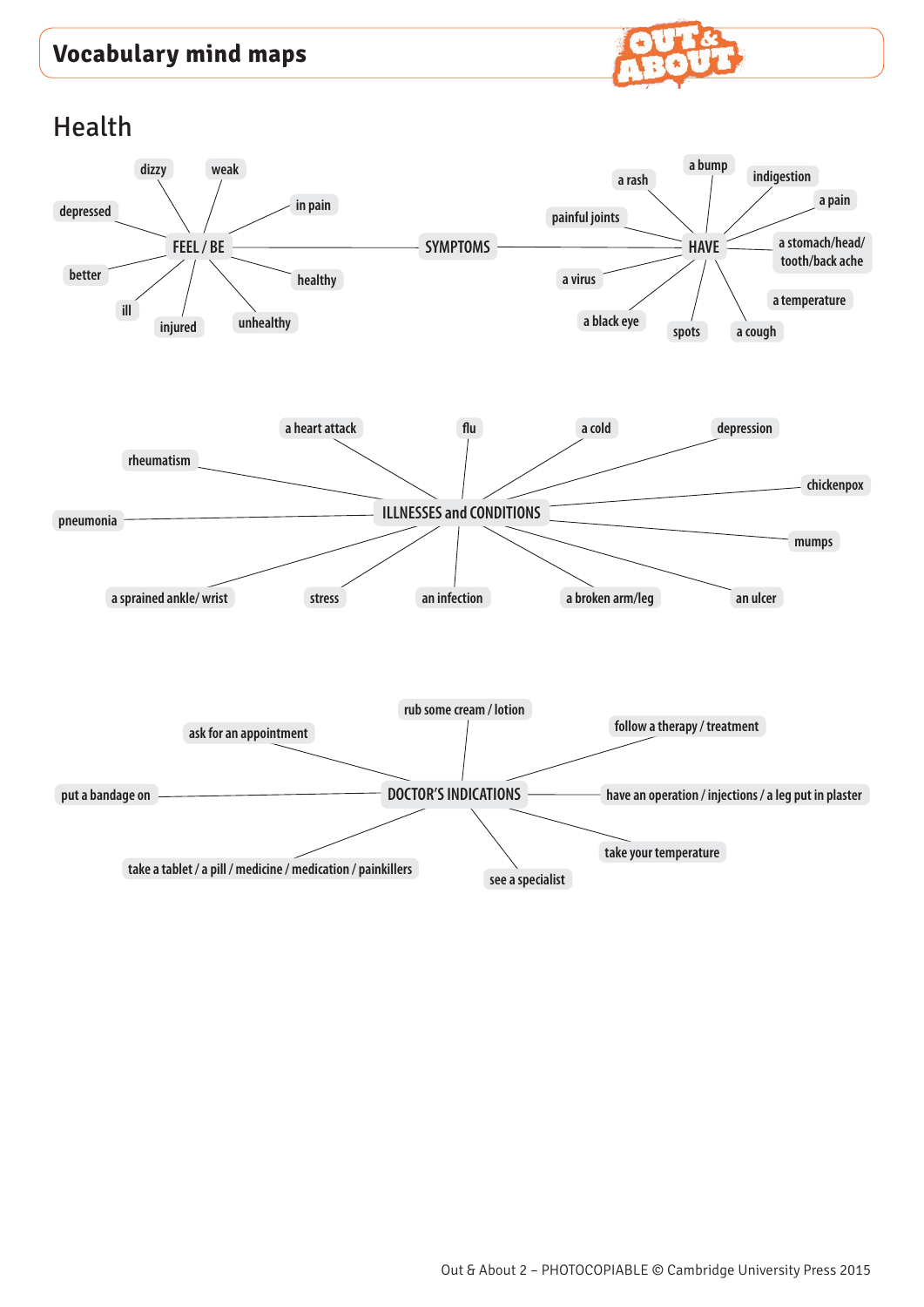## **Vocabulary mind maps**



Health